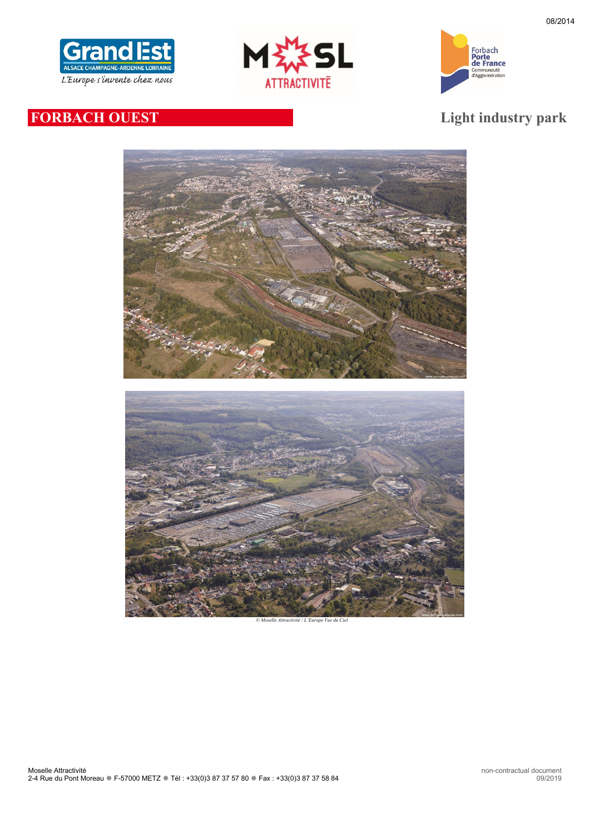





# **FORBACH OUEST Light industry park**



*<i>Die Attractivité / L'Europe Vue*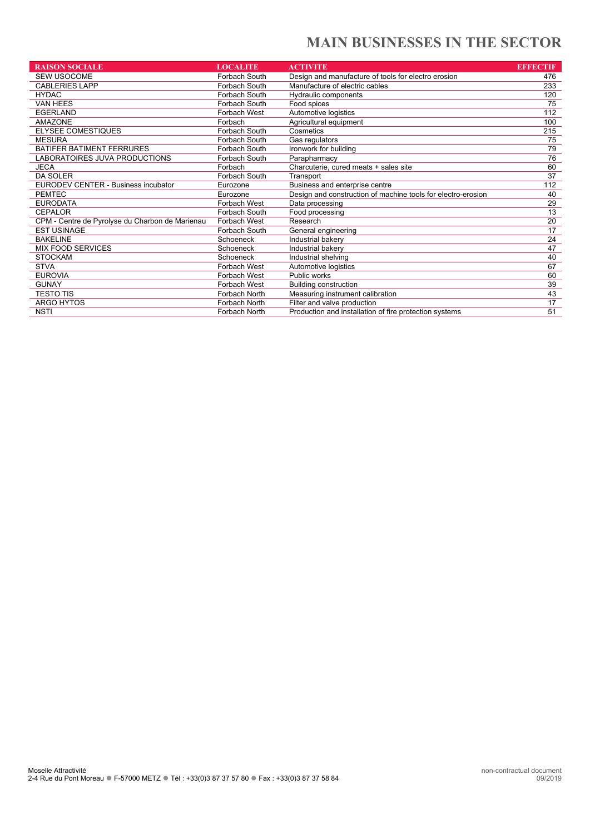# **MAIN BUSINESSES IN THE SECTOR**

| <b>RAISON SOCIALE</b>                           | <b>LOCALITE</b>     | <b>ACTIVITE</b>                                              | <b>EFFECTIF</b> |
|-------------------------------------------------|---------------------|--------------------------------------------------------------|-----------------|
| <b>SEW USOCOME</b>                              | Forbach South       | Design and manufacture of tools for electro erosion          | 476             |
| <b>CABLERIES LAPP</b>                           | Forbach South       | Manufacture of electric cables                               | 233             |
| <b>HYDAC</b>                                    | Forbach South       | Hydraulic components                                         | 120             |
| <b>VAN HEES</b>                                 | Forbach South       | Food spices                                                  | 75              |
| <b>EGERLAND</b>                                 | Forbach West        | Automotive logistics                                         | 112             |
| AMAZONE                                         | Forbach             | Agricultural equipment                                       | 100             |
| <b>ELYSEE COMESTIQUES</b>                       | Forbach South       | Cosmetics                                                    | 215             |
| <b>MESURA</b>                                   | Forbach South       | Gas regulators                                               | 75              |
| <b>BATIFER BATIMENT FERRURES</b>                | Forbach South       | Ironwork for building                                        | 79              |
| LABORATOIRES JUVA PRODUCTIONS                   | Forbach South       | Parapharmacy                                                 | 76              |
| <b>JECA</b>                                     | Forbach             | Charcuterie, cured meats + sales site                        | 60              |
| <b>DA SOLER</b>                                 | Forbach South       | Transport                                                    | 37              |
| <b>EURODEV CENTER - Business incubator</b>      | Eurozone            | Business and enterprise centre                               | 112             |
| <b>PEMTEC</b>                                   | Eurozone            | Design and construction of machine tools for electro-erosion | 40              |
| <b>EURODATA</b>                                 | Forbach West        | Data processing                                              | 29              |
| <b>CEPALOR</b>                                  | Forbach South       | Food processing                                              | 13              |
| CPM - Centre de Pyrolyse du Charbon de Marienau | <b>Forbach West</b> | Research                                                     | 20              |
| <b>EST USINAGE</b>                              | Forbach South       | General engineering                                          | 17              |
| <b>BAKELINE</b>                                 | Schoeneck           | Industrial bakery                                            | 24              |
| <b>MIX FOOD SERVICES</b>                        | Schoeneck           | Industrial bakery                                            | 47              |
| <b>STOCKAM</b>                                  | Schoeneck           | Industrial shelving                                          | 40              |
| <b>STVA</b>                                     | Forbach West        | Automotive logistics                                         | 67              |
| <b>EUROVIA</b>                                  | Forbach West        | Public works                                                 | 60              |
| <b>GUNAY</b>                                    | <b>Forbach West</b> | <b>Building construction</b>                                 | 39              |
| <b>TESTO TIS</b>                                | Forbach North       | Measuring instrument calibration                             | 43              |
| ARGO HYTOS                                      | Forbach North       | Filter and valve production                                  | 17              |
| <b>NSTI</b>                                     | Forbach North       | Production and installation of fire protection systems       | 51              |